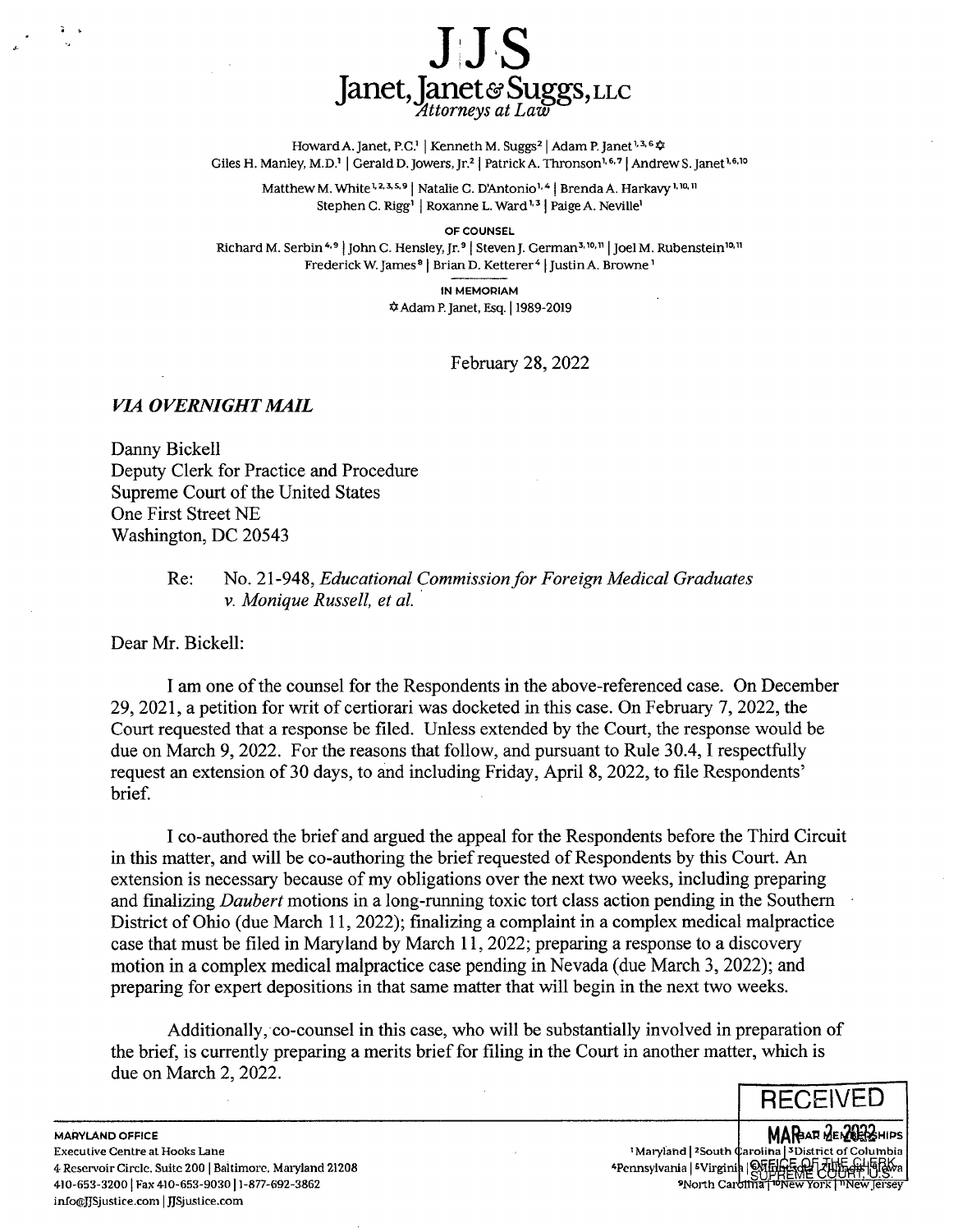

Howard A. Janet, P.C.<sup>1</sup> | Kenneth M. Suggs<sup>2</sup> | Adam P. Janet<sup>1, 3, 6</sup>  $\Phi$ Giles H. Manley, M.D.<sup>1</sup> | Gerald D. Jowers, Jr.<sup>2</sup> | Patrick A. Thronson<sup>1, 6,7</sup> | Andrew S. Janet<sup>1, 6, 10</sup>

Matthew M. White<sup>1,2,3,5,9</sup> | Natalie C. D'Antonio<sup>1,4</sup> | Brenda A. Harkavy<sup>1,10,11</sup> Stephen C. Rigg<sup>1</sup> Roxanne L. Ward<sup>1,3</sup> Paige A. Neville<sup>1</sup>

OF COUNSEL

Richard M. Serbin <sup>4,9</sup> | John C. Hensley, Jr.<sup>9</sup> | Steven J. German<sup>3,10, 11</sup> | Joel M. Rubenstein<sup>10, 11</sup> Frederick W. James<sup>8</sup> | Brian D. Ketterer<sup>4</sup> | Justin A. Browne'

> IN MEMORIAM \*Adam P. Janet, Esq. I 1989-2019

> > February 28, 2022

## *VIA OVERNIGHT MAIL*

Danny Bickell Deputy Clerk for Practice and Procedure Supreme Court of the United States One First Street NE Washington, DC 20543

## Re: No. 21-948, *Educational Commission for Foreign Medical Graduates v. Monique Russell, et al.*

Dear Mr. Bickell:

I am one of the counsel for the Respondents in the above-referenced case. On December 29, 2021, a petition for writ of certiorari was docketed in this case. On February 7, 2022, the Court requested that a response be filed. Unless extended by the Court, the response would be due on March 9, 2022. For the reasons that follow, and pursuant to Rule 30.4, I respectfully request an extension of 30 days, to and including Friday, April 8, 2022, to file Respondents' brief.

I co-authored the brief and argued the appeal for the Respondents before the Third Circuit in this matter, and will be co-authoring the brief requested of Respondents by this Court. An extension is necessary because of my obligations over the next two weeks, including preparing and finalizing *Daubert* motions in a long-running toxic tort class action pending in the Southern District of Ohio (due March 11, 2022); finalizing a complaint in a complex medical malpractice case that must be filed in Maryland by March 11, 2022; preparing a response to a discovery motion in a complex medical malpractice case pending in Nevada (due March 3, 2022); and preparing for expert depositions in that same matter that will begin in the next two weeks.

Additionally, co-counsel in this case, who will be substantially involved in preparation of the brief, is currently preparing a merits brief for filing in the Court in another matter, which is due on March 2, 2022.

**RECEIVED** 

**MARAR DEN2022**HIPS arolina | SDistrict of Columbia<br>| | Official Columbia | | Gitar Ka<br>| | Gitar Edit | Columbia | Gitar<br>| Ina | Wiew York | "New Jersey" 'Maryland | <sup>2</sup>South 4Pennsylvania | <sup>5</sup>Virgini sNorth Car